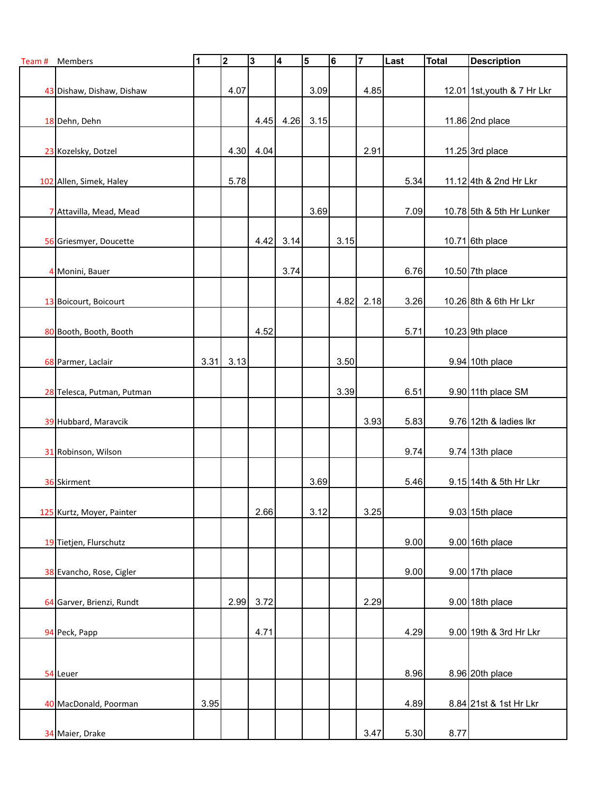| Team # | Members                    | $\overline{\mathbf{1}}$ | $\mathbf 2$ | 3    | $\overline{4}$ | $\overline{\mathbf{5}}$ | $6\phantom{1}$ | $\overline{7}$ | Last | <b>Total</b> | <b>Description</b>          |
|--------|----------------------------|-------------------------|-------------|------|----------------|-------------------------|----------------|----------------|------|--------------|-----------------------------|
|        |                            |                         |             |      |                |                         |                |                |      |              |                             |
|        | 43 Dishaw, Dishaw, Dishaw  |                         | 4.07        |      |                | 3.09                    |                | 4.85           |      |              | 12.01 1st, youth & 7 Hr Lkr |
|        | 18 Dehn, Dehn              |                         |             | 4.45 | 4.26           | 3.15                    |                |                |      |              | 11.86 $2nd$ place           |
|        |                            |                         |             |      |                |                         |                |                |      |              |                             |
|        | 23 Kozelsky, Dotzel        |                         | 4.30        | 4.04 |                |                         |                | 2.91           |      |              | 11.25 $3rd$ place           |
|        |                            |                         |             |      |                |                         |                |                |      |              |                             |
|        | 102 Allen, Simek, Haley    |                         | 5.78        |      |                |                         |                |                | 5.34 |              | 11.12 4th & 2nd Hr Lkr      |
|        | 7 Attavilla, Mead, Mead    |                         |             |      |                | 3.69                    |                |                | 7.09 |              | 10.78 5th & 5th Hr Lunker   |
|        |                            |                         |             |      |                |                         |                |                |      |              |                             |
|        | 56 Griesmyer, Doucette     |                         |             | 4.42 | 3.14           |                         | 3.15           |                |      |              | 10.71 6th place             |
|        |                            |                         |             |      |                |                         |                |                |      |              |                             |
|        | 4 Monini, Bauer            |                         |             |      | 3.74           |                         |                |                | 6.76 |              | 10.50 $7th$ place           |
|        | 13 Boicourt, Boicourt      |                         |             |      |                |                         | 4.82           | 2.18           | 3.26 |              | 10.26 8th & 6th Hr Lkr      |
|        |                            |                         |             |      |                |                         |                |                |      |              |                             |
|        | 80 Booth, Booth, Booth     |                         |             | 4.52 |                |                         |                |                | 5.71 |              | 10.23 9th place             |
|        |                            |                         |             |      |                |                         |                |                |      |              |                             |
|        | 68 Parmer, Laclair         | 3.31                    | 3.13        |      |                |                         | 3.50           |                |      |              | $9.94$ 10th place           |
|        |                            |                         |             |      |                |                         | 3.39           |                | 6.51 |              | 9.90 11th place SM          |
|        | 28 Telesca, Putman, Putman |                         |             |      |                |                         |                |                |      |              |                             |
|        | 39 Hubbard, Maravcik       |                         |             |      |                |                         |                | 3.93           | 5.83 |              | 9.76 12th & ladies Ikr      |
|        |                            |                         |             |      |                |                         |                |                |      |              |                             |
|        | 31 Robinson, Wilson        |                         |             |      |                |                         |                |                | 9.74 |              | $9.74$ 13th place           |
|        |                            |                         |             |      |                |                         |                |                |      |              |                             |
|        | 36 Skirment                |                         |             |      |                | 3.69                    |                |                | 5.46 |              | 9.15 14th & 5th Hr Lkr      |
|        | 125 Kurtz, Moyer, Painter  |                         |             | 2.66 |                | 3.12                    |                | 3.25           |      |              | $9.03$ 15th place           |
|        |                            |                         |             |      |                |                         |                |                |      |              |                             |
|        | 19 Tietjen, Flurschutz     |                         |             |      |                |                         |                |                | 9.00 |              | $9.00$ 16th place           |
|        |                            |                         |             |      |                |                         |                |                |      |              |                             |
|        | 38 Evancho, Rose, Cigler   |                         |             |      |                |                         |                |                | 9.00 |              | $9.00$ 17th place           |
|        | 64 Garver, Brienzi, Rundt  |                         | 2.99        | 3.72 |                |                         |                | 2.29           |      |              | $9.00$ 18th place           |
|        |                            |                         |             |      |                |                         |                |                |      |              |                             |
|        | 94 Peck, Papp              |                         |             | 4.71 |                |                         |                |                | 4.29 |              | 9.00 19th & 3rd Hr Lkr      |
|        |                            |                         |             |      |                |                         |                |                |      |              |                             |
|        | 54 Leuer                   |                         |             |      |                |                         |                |                | 8.96 |              | 8.96 20th place             |
|        |                            |                         |             |      |                |                         |                |                |      |              |                             |
|        | 40 MacDonald, Poorman      | 3.95                    |             |      |                |                         |                |                | 4.89 |              | 8.84 21st & 1st Hr Lkr      |
|        |                            |                         |             |      |                |                         |                |                |      |              |                             |
|        | 34 Maier, Drake            |                         |             |      |                |                         |                | 3.47           | 5.30 | 8.77         |                             |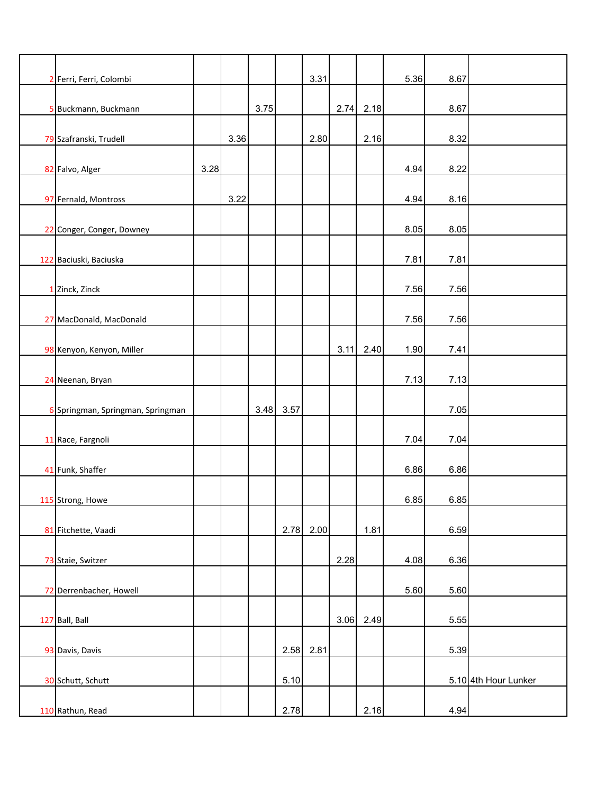| 2 Ferri, Ferri, Colombi           |      |      |      |      | 3.31        |      |        | 5.36 | 8.67 |                      |
|-----------------------------------|------|------|------|------|-------------|------|--------|------|------|----------------------|
|                                   |      |      |      |      |             |      |        |      |      |                      |
| 5 Buckmann, Buckmann              |      |      | 3.75 |      |             | 2.74 | 2.18   |      | 8.67 |                      |
| 79 Szafranski, Trudell            |      | 3.36 |      |      | 2.80        |      | 2.16   |      | 8.32 |                      |
| 82 Falvo, Alger                   | 3.28 |      |      |      |             |      |        | 4.94 | 8.22 |                      |
|                                   |      |      |      |      |             |      |        |      |      |                      |
| 97 Fernald, Montross              |      | 3.22 |      |      |             |      |        | 4.94 | 8.16 |                      |
| 22 Conger, Conger, Downey         |      |      |      |      |             |      |        | 8.05 | 8.05 |                      |
| 122 Baciuski, Baciuska            |      |      |      |      |             |      |        | 7.81 | 7.81 |                      |
| 1 Zinck, Zinck                    |      |      |      |      |             |      |        | 7.56 | 7.56 |                      |
|                                   |      |      |      |      |             |      |        |      |      |                      |
| 27 MacDonald, MacDonald           |      |      |      |      |             |      |        | 7.56 | 7.56 |                      |
| 98 Kenyon, Kenyon, Miller         |      |      |      |      |             | 3.11 | 2.40   | 1.90 | 7.41 |                      |
| 24 Neenan, Bryan                  |      |      |      |      |             |      |        | 7.13 | 7.13 |                      |
| 6 Springman, Springman, Springman |      |      | 3.48 | 3.57 |             |      |        |      | 7.05 |                      |
| 11 Race, Fargnoli                 |      |      |      |      |             |      |        | 7.04 | 7.04 |                      |
|                                   |      |      |      |      |             |      |        |      |      |                      |
| 41 Funk, Shaffer                  |      |      |      |      |             |      |        | 6.86 | 6.86 |                      |
| 115 Strong, Howe                  |      |      |      |      |             |      |        | 6.85 | 6.85 |                      |
| 81 Fitchette, Vaadi               |      |      |      | 2.78 | 2.00        |      | $1.81$ |      | 6.59 |                      |
| 73 Staie, Switzer                 |      |      |      |      |             | 2.28 |        | 4.08 | 6.36 |                      |
|                                   |      |      |      |      |             |      |        |      |      |                      |
| 72 Derrenbacher, Howell           |      |      |      |      |             |      |        | 5.60 | 5.60 |                      |
| 127 Ball, Ball                    |      |      |      |      |             | 3.06 | 2.49   |      | 5.55 |                      |
| 93 Davis, Davis                   |      |      |      |      | $2.58$ 2.81 |      |        |      | 5.39 |                      |
| 30 Schutt, Schutt                 |      |      |      | 5.10 |             |      |        |      |      | 5.10 4th Hour Lunker |
|                                   |      |      |      |      |             |      |        |      |      |                      |
| 110 Rathun, Read                  |      |      |      | 2.78 |             |      | 2.16   |      | 4.94 |                      |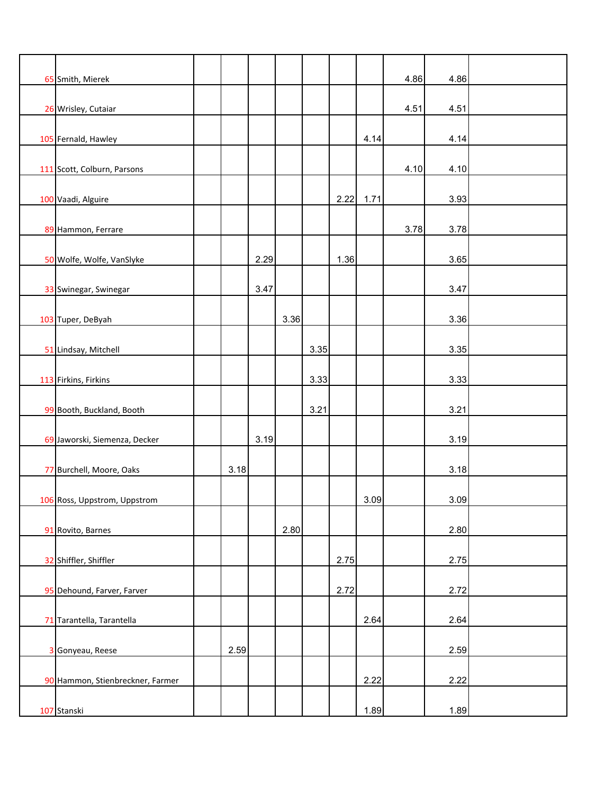| 65 Smith, Mierek                 |      |      |      |      |      |      | 4.86 | 4.86 |  |
|----------------------------------|------|------|------|------|------|------|------|------|--|
| 26 Wrisley, Cutaiar              |      |      |      |      |      |      | 4.51 | 4.51 |  |
| 105 Fernald, Hawley              |      |      |      |      |      | 4.14 |      | 4.14 |  |
| 111 Scott, Colburn, Parsons      |      |      |      |      |      |      | 4.10 | 4.10 |  |
|                                  |      |      |      |      |      |      |      |      |  |
| 100 Vaadi, Alguire               |      |      |      |      | 2.22 | 1.71 |      | 3.93 |  |
| 89 Hammon, Ferrare               |      |      |      |      |      |      | 3.78 | 3.78 |  |
| 50 Wolfe, Wolfe, VanSlyke        |      | 2.29 |      |      | 1.36 |      |      | 3.65 |  |
|                                  |      |      |      |      |      |      |      |      |  |
| 33 Swinegar, Swinegar            |      | 3.47 |      |      |      |      |      | 3.47 |  |
| 103 Tuper, DeByah                |      |      | 3.36 |      |      |      |      | 3.36 |  |
|                                  |      |      |      |      |      |      |      |      |  |
| 51 Lindsay, Mitchell             |      |      |      | 3.35 |      |      |      | 3.35 |  |
| 113 Firkins, Firkins             |      |      |      | 3.33 |      |      |      | 3.33 |  |
| 99 Booth, Buckland, Booth        |      |      |      | 3.21 |      |      |      | 3.21 |  |
| 69 Jaworski, Siemenza, Decker    |      | 3.19 |      |      |      |      |      | 3.19 |  |
|                                  |      |      |      |      |      |      |      |      |  |
| 77 Burchell, Moore, Oaks         | 3.18 |      |      |      |      |      |      | 3.18 |  |
| 106 Ross, Uppstrom, Uppstrom     |      |      |      |      |      | 3.09 |      | 3.09 |  |
|                                  |      |      |      |      |      |      |      |      |  |
| 91 Rovito, Barnes                |      |      | 2.80 |      |      |      |      | 2.80 |  |
| 32 Shiffler, Shiffler            |      |      |      |      | 2.75 |      |      | 2.75 |  |
| 95 Dehound, Farver, Farver       |      |      |      |      | 2.72 |      |      | 2.72 |  |
|                                  |      |      |      |      |      |      |      |      |  |
| 71 Tarantella, Tarantella        |      |      |      |      |      | 2.64 |      | 2.64 |  |
| 3 Gonyeau, Reese                 | 2.59 |      |      |      |      |      |      | 2.59 |  |
| 90 Hammon, Stienbreckner, Farmer |      |      |      |      |      | 2.22 |      | 2.22 |  |
|                                  |      |      |      |      |      |      |      |      |  |
| 107 Stanski                      |      |      |      |      |      | 1.89 |      | 1.89 |  |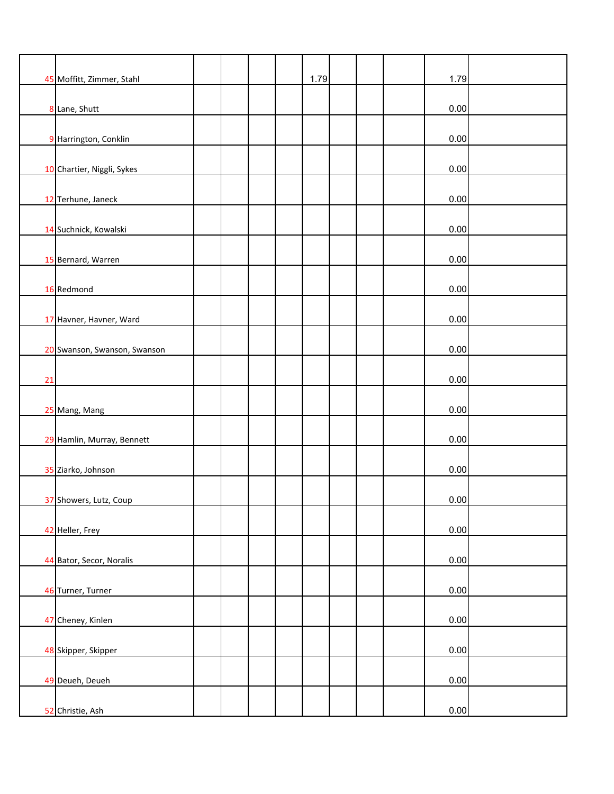|    | 45 Moffitt, Zimmer, Stahl    |  | 1.79 |  | 1.79 |  |
|----|------------------------------|--|------|--|------|--|
|    | 8 Lane, Shutt                |  |      |  | 0.00 |  |
|    | 9 Harrington, Conklin        |  |      |  | 0.00 |  |
|    | 10 Chartier, Niggli, Sykes   |  |      |  | 0.00 |  |
|    |                              |  |      |  |      |  |
|    | 12 Terhune, Janeck           |  |      |  | 0.00 |  |
|    | 14 Suchnick, Kowalski        |  |      |  | 0.00 |  |
|    | 15 Bernard, Warren           |  |      |  | 0.00 |  |
|    | 16 Redmond                   |  |      |  | 0.00 |  |
|    | 17 Havner, Havner, Ward      |  |      |  | 0.00 |  |
|    | 20 Swanson, Swanson, Swanson |  |      |  | 0.00 |  |
| 21 |                              |  |      |  | 0.00 |  |
|    | 25 Mang, Mang                |  |      |  | 0.00 |  |
|    | 29 Hamlin, Murray, Bennett   |  |      |  | 0.00 |  |
|    | 35 Ziarko, Johnson           |  |      |  | 0.00 |  |
|    | 37 Showers, Lutz, Coup       |  |      |  | 0.00 |  |
|    | 42 Heller, Frey              |  |      |  | 0.00 |  |
|    |                              |  |      |  |      |  |
|    | 44 Bator, Secor, Noralis     |  |      |  | 0.00 |  |
|    | 46 Turner, Turner            |  |      |  | 0.00 |  |
|    | 47 Cheney, Kinlen            |  |      |  | 0.00 |  |
|    | 48 Skipper, Skipper          |  |      |  | 0.00 |  |
|    | 49 Deueh, Deueh              |  |      |  | 0.00 |  |
|    | 52 Christie, Ash             |  |      |  | 0.00 |  |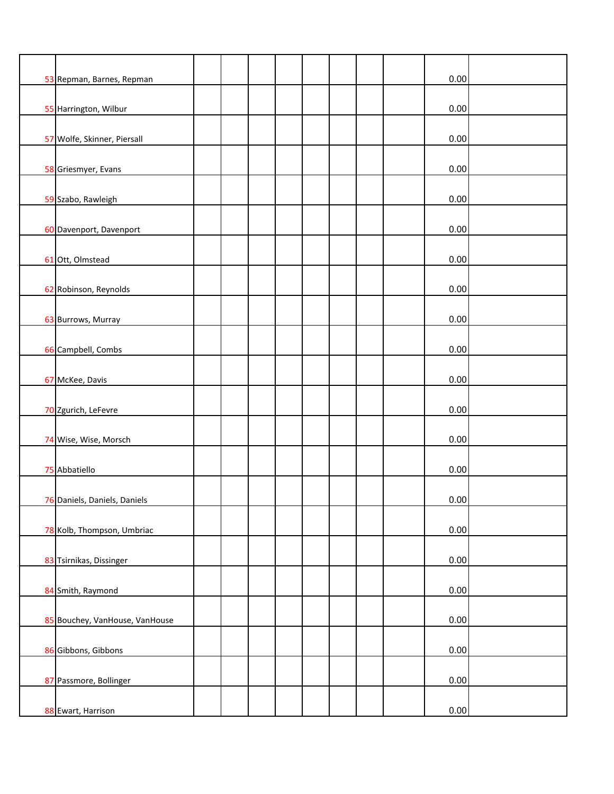|                                |  |  |  |  | 0.00 |  |
|--------------------------------|--|--|--|--|------|--|
| 53 Repman, Barnes, Repman      |  |  |  |  |      |  |
| 55 Harrington, Wilbur          |  |  |  |  | 0.00 |  |
| 57 Wolfe, Skinner, Piersall    |  |  |  |  | 0.00 |  |
| 58 Griesmyer, Evans            |  |  |  |  | 0.00 |  |
|                                |  |  |  |  |      |  |
| 59 Szabo, Rawleigh             |  |  |  |  | 0.00 |  |
| 60 Davenport, Davenport        |  |  |  |  | 0.00 |  |
| 61 Ott, Olmstead               |  |  |  |  | 0.00 |  |
| 62 Robinson, Reynolds          |  |  |  |  | 0.00 |  |
| 63 Burrows, Murray             |  |  |  |  | 0.00 |  |
| 66 Campbell, Combs             |  |  |  |  | 0.00 |  |
|                                |  |  |  |  |      |  |
| 67 McKee, Davis                |  |  |  |  | 0.00 |  |
| 70 Zgurich, LeFevre            |  |  |  |  | 0.00 |  |
| 74 Wise, Wise, Morsch          |  |  |  |  | 0.00 |  |
| 75 Abbatiello                  |  |  |  |  | 0.00 |  |
| 76 Daniels, Daniels, Daniels   |  |  |  |  | 0.00 |  |
| 78 Kolb, Thompson, Umbriac     |  |  |  |  | 0.00 |  |
| 83 Tsirnikas, Dissinger        |  |  |  |  | 0.00 |  |
|                                |  |  |  |  |      |  |
| 84 Smith, Raymond              |  |  |  |  | 0.00 |  |
| 85 Bouchey, VanHouse, VanHouse |  |  |  |  | 0.00 |  |
| 86 Gibbons, Gibbons            |  |  |  |  | 0.00 |  |
| 87 Passmore, Bollinger         |  |  |  |  | 0.00 |  |
| 88 Ewart, Harrison             |  |  |  |  | 0.00 |  |